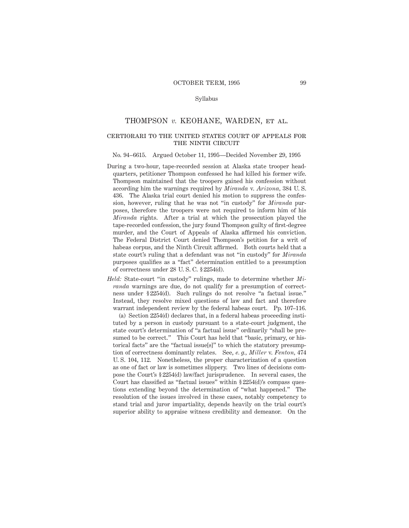### Syllabus

# THOMPSON *v.* KEOHANE, WARDEN, et al.

# certiorari to the united states court of appeals for THE NINTH CIRCUIT

#### No. 94–6615. Argued October 11, 1995—Decided November 29, 1995

- During a two-hour, tape-recorded session at Alaska state trooper headquarters, petitioner Thompson confessed he had killed his former wife. Thompson maintained that the troopers gained his confession without according him the warnings required by *Miranda* v. *Arizona,* 384 U. S. 436. The Alaska trial court denied his motion to suppress the confession, however, ruling that he was not "in custody" for *Miranda* purposes, therefore the troopers were not required to inform him of his *Miranda* rights. After a trial at which the prosecution played the tape-recorded confession, the jury found Thompson guilty of first-degree murder, and the Court of Appeals of Alaska affirmed his conviction. The Federal District Court denied Thompson's petition for a writ of habeas corpus, and the Ninth Circuit affirmed. Both courts held that a state court's ruling that a defendant was not "in custody" for *Miranda* purposes qualifies as a "fact" determination entitled to a presumption of correctness under 28 U. S. C. § 2254(d).
- *Held:* State-court "in custody" rulings, made to determine whether *Miranda* warnings are due, do not qualify for a presumption of correctness under § 2254(d). Such rulings do not resolve "a factual issue." Instead, they resolve mixed questions of law and fact and therefore warrant independent review by the federal habeas court. Pp. 107–116.

(a) Section 2254(d) declares that, in a federal habeas proceeding instituted by a person in custody pursuant to a state-court judgment, the state court's determination of "a factual issue" ordinarily "shall be presumed to be correct." This Court has held that "basic, primary, or historical facts" are the "factual issue[s]" to which the statutory presumption of correctness dominantly relates. See, *e. g., Miller* v. *Fenton,* 474 U. S. 104, 112. Nonetheless, the proper characterization of a question as one of fact or law is sometimes slippery. Two lines of decisions compose the Court's § 2254(d) law/fact jurisprudence. In several cases, the Court has classified as "factual issues" within § 2254(d)'s compass questions extending beyond the determination of "what happened." The resolution of the issues involved in these cases, notably competency to stand trial and juror impartiality, depends heavily on the trial court's superior ability to appraise witness credibility and demeanor. On the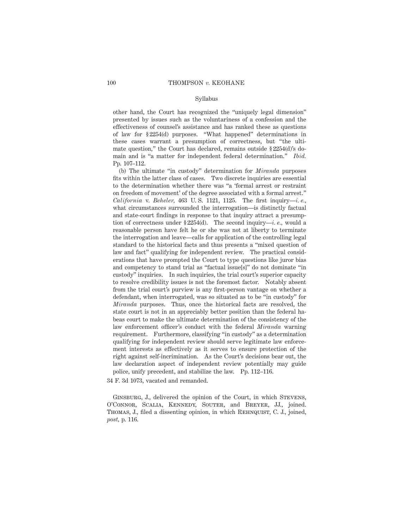#### Syllabus

other hand, the Court has recognized the "uniquely legal dimension" presented by issues such as the voluntariness of a confession and the effectiveness of counsel's assistance and has ranked these as questions of law for § 2254(d) purposes. "What happened" determinations in these cases warrant a presumption of correctness, but "the ultimate question," the Court has declared, remains outside § 2254(d)'s domain and is "a matter for independent federal determination." *Ibid.* Pp. 107–112.

(b) The ultimate "in custody" determination for *Miranda* purposes fits within the latter class of cases. Two discrete inquiries are essential to the determination whether there was "a 'formal arrest or restraint on freedom of movement' of the degree associated with a formal arrest." *California* v. *Beheler*, 463 U.S. 1121, 1125. The first inquiry—*i.e.*, what circumstances surrounded the interrogation—is distinctly factual and state-court findings in response to that inquiry attract a presumption of correctness under § 2254(d). The second inquiry—*i. e.,* would a reasonable person have felt he or she was not at liberty to terminate the interrogation and leave—calls for application of the controlling legal standard to the historical facts and thus presents a "mixed question of law and fact" qualifying for independent review. The practical considerations that have prompted the Court to type questions like juror bias and competency to stand trial as "factual issue[s]" do not dominate "in custody" inquiries. In such inquiries, the trial court's superior capacity to resolve credibility issues is not the foremost factor. Notably absent from the trial court's purview is any first-person vantage on whether a defendant, when interrogated, was so situated as to be "in custody" for *Miranda* purposes. Thus, once the historical facts are resolved, the state court is not in an appreciably better position than the federal habeas court to make the ultimate determination of the consistency of the law enforcement officer's conduct with the federal *Miranda* warning requirement. Furthermore, classifying "in custody" as a determination qualifying for independent review should serve legitimate law enforcement interests as effectively as it serves to ensure protection of the right against self-incrimination. As the Court's decisions bear out, the law declaration aspect of independent review potentially may guide police, unify precedent, and stabilize the law. Pp. 112–116.

34 F. 3d 1073, vacated and remanded.

GINSBURG, J., delivered the opinion of the Court, in which STEVENS, O'Connor, Scalia, Kennedy, Souter, and Breyer, JJ., joined. THOMAS, J., filed a dissenting opinion, in which REHNQUIST, C. J., joined, *post,* p. 116.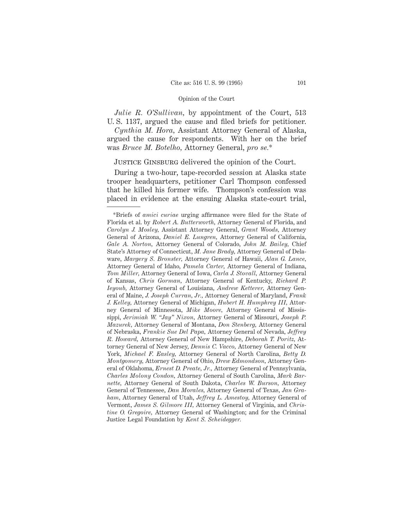*Julie R. O'Sullivan,* by appointment of the Court, 513 U. S. 1137, argued the cause and filed briefs for petitioner.

*Cynthia M. Hora,* Assistant Attorney General of Alaska, argued the cause for respondents. With her on the brief was *Bruce M. Botelho,* Attorney General, *pro se.*\*

JUSTICE GINSBURG delivered the opinion of the Court.

During a two-hour, tape-recorded session at Alaska state trooper headquarters, petitioner Carl Thompson confessed that he killed his former wife. Thompson's confession was placed in evidence at the ensuing Alaska state-court trial,

<sup>\*</sup>Briefs of *amici curiae* urging affirmance were filed for the State of Florida et al. by *Robert A. Butterworth,* Attorney General of Florida, and *Carolyn J. Mosley,* Assistant Attorney General, *Grant Woods,* Attorney General of Arizona, *Daniel E. Lungren,* Attorney General of California, *Gale A. Norton,* Attorney General of Colorado, *John M. Bailey,* Chief State's Attorney of Connecticut, *M. Jane Brady,* Attorney General of Delaware, *Margery S. Bronster,* Attorney General of Hawaii, *Alan G. Lance,* Attorney General of Idaho, *Pamela Carter,* Attorney General of Indiana, *Tom Miller,* Attorney General of Iowa, *Carla J. Stovall,* Attorney General of Kansas, *Chris Gorman,* Attorney General of Kentucky, *Richard P. Ieyoub,* Attorney General of Louisiana, *Andrew Ketterer,* Attorney General of Maine, *J. Joseph Curran, Jr.,* Attorney General of Maryland, *Frank J. Kelley,* Attorney General of Michigan, *Hubert H. Humphrey III,* Attorney General of Minnesota, *Mike Moore,* Attorney General of Mississippi, *Jerimiah W. "Jay" Nixon,* Attorney General of Missouri, *Joseph P. Mazurek,* Attorney General of Montana, *Don Stenberg,* Attorney General of Nebraska, *Frankie Sue Del Papa,* Attorney General of Nevada, *Jeffrey R. Howard,* Attorney General of New Hampshire, *Deborah T. Poritz,* Attorney General of New Jersey, *Dennis C. Vacco,* Attorney General of New York, *Michael F. Easley,* Attorney General of North Carolina, *Betty D. Montgomery,* Attorney General of Ohio, *Drew Edmondson,* Attorney General of Oklahoma, *Ernest D. Preate, Jr.,* Attorney General of Pennsylvania, *Charles Molony Condon,* Attorney General of South Carolina, *Mark Barnette,* Attorney General of South Dakota, *Charles W. Burson,* Attorney General of Tennessee, *Dan Morales,* Attorney General of Texas, *Jan Graham,* Attorney General of Utah, *Jeffrey L. Amestoy,* Attorney General of Vermont, *James S. Gilmore III,* Attorney General of Virginia, and *Christine O. Gregoire,* Attorney General of Washington; and for the Criminal Justice Legal Foundation by *Kent S. Scheidegger.*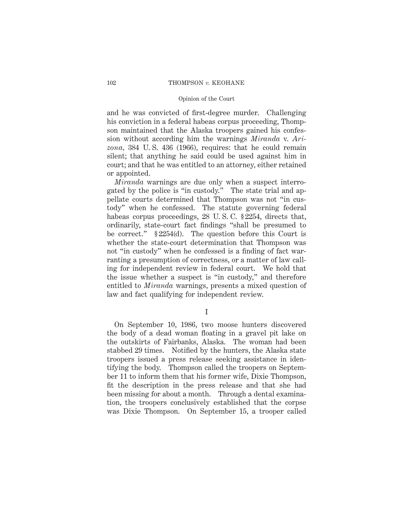and he was convicted of first-degree murder. Challenging his conviction in a federal habeas corpus proceeding, Thompson maintained that the Alaska troopers gained his confession without according him the warnings *Miranda* v. *Arizona,* 384 U. S. 436 (1966), requires: that he could remain silent; that anything he said could be used against him in court; and that he was entitled to an attorney, either retained or appointed.

*Miranda* warnings are due only when a suspect interrogated by the police is "in custody." The state trial and appellate courts determined that Thompson was not "in custody" when he confessed. The statute governing federal habeas corpus proceedings, 28 U. S. C. § 2254, directs that, ordinarily, state-court fact findings "shall be presumed to be correct." § 2254(d). The question before this Court is whether the state-court determination that Thompson was not "in custody" when he confessed is a finding of fact warranting a presumption of correctness, or a matter of law calling for independent review in federal court. We hold that the issue whether a suspect is "in custody," and therefore entitled to *Miranda* warnings, presents a mixed question of law and fact qualifying for independent review.

I

On September 10, 1986, two moose hunters discovered the body of a dead woman floating in a gravel pit lake on the outskirts of Fairbanks, Alaska. The woman had been stabbed 29 times. Notified by the hunters, the Alaska state troopers issued a press release seeking assistance in identifying the body. Thompson called the troopers on September 11 to inform them that his former wife, Dixie Thompson, fit the description in the press release and that she had been missing for about a month. Through a dental examination, the troopers conclusively established that the corpse was Dixie Thompson. On September 15, a trooper called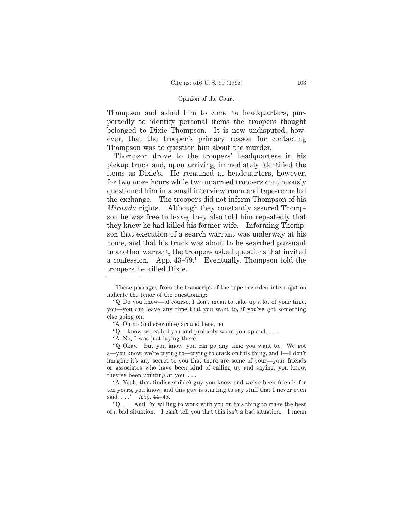Thompson and asked him to come to headquarters, purportedly to identify personal items the troopers thought belonged to Dixie Thompson. It is now undisputed, however, that the trooper's primary reason for contacting Thompson was to question him about the murder.

Thompson drove to the troopers' headquarters in his pickup truck and, upon arriving, immediately identified the items as Dixie's. He remained at headquarters, however, for two more hours while two unarmed troopers continuously questioned him in a small interview room and tape-recorded the exchange. The troopers did not inform Thompson of his *Miranda* rights. Although they constantly assured Thompson he was free to leave, they also told him repeatedly that they knew he had killed his former wife. Informing Thompson that execution of a search warrant was underway at his home, and that his truck was about to be searched pursuant to another warrant, the troopers asked questions that invited a confession. App. 43–79.1 Eventually, Thompson told the troopers he killed Dixie.

<sup>&</sup>lt;sup>1</sup> These passages from the transcript of the tape-recorded interrogation indicate the tenor of the questioning:

<sup>&</sup>quot;Q Do you know—of course, I don't mean to take up a lot of your time, you—you can leave any time that you want to, if you've got something else going on.

<sup>&</sup>quot;A Oh no (indiscernible) around here, no.

<sup>&</sup>quot;Q I know we called you and probably woke you up and....

<sup>&</sup>quot;A No, I was just laying there.

<sup>&</sup>quot;Q Okay. But you know, you can go any time you want to. We got a—you know, we're trying to—trying to crack on this thing, and I—I don't imagine it's any secret to you that there are some of your—your friends or associates who have been kind of calling up and saying, you know, they've been pointing at you....

<sup>&</sup>quot;A Yeah, that (indiscernible) guy you know and we've been friends for ten years, you know, and this guy is starting to say stuff that I never even said. . . ." App. 44–45.

<sup>&</sup>quot;Q . . . And I'm willing to work with you on this thing to make the best of a bad situation. I can't tell you that this isn't a bad situation. I mean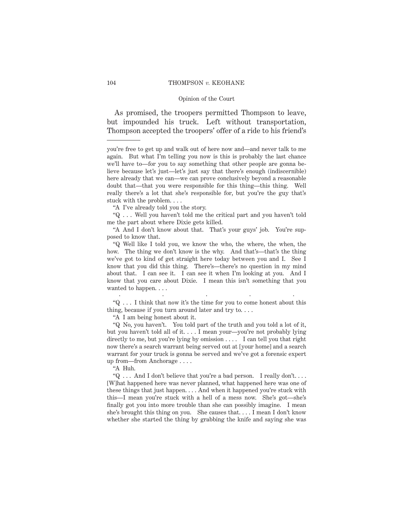### 104 THOMPSON *v.* KEOHANE

#### Opinion of the Court

As promised, the troopers permitted Thompson to leave, but impounded his truck. Left without transportation, Thompson accepted the troopers' offer of a ride to his friend's

"A I've already told you the story.

"Q . . . Well you haven't told me the critical part and you haven't told me the part about where Dixie gets killed.

"A And I don't know about that. That's your guys' job. You're supposed to know that.

"Q Well like I told you, we know the who, the where, the when, the how. The thing we don't know is the why. And that's—that's the thing we've got to kind of get straight here today between you and I. See I know that you did this thing. There's—there's no question in my mind about that. I can see it. I can see it when I'm looking at you. And I know that you care about Dixie. I mean this isn't something that you wanted to happen....

..... "Q . . . I think that now it's the time for you to come honest about this thing, because if you turn around later and try to....

"A I am being honest about it.

"Q No, you haven't. You told part of the truth and you told a lot of it, but you haven't told all of it....I mean your—you're not probably lying directly to me, but you're lying by omission  $\dots$ . I can tell you that right now there's a search warrant being served out at [your home] and a search warrant for your truck is gonna be served and we've got a forensic expert up from—from Anchorage....

"A Huh.

"Q . . . And I don't believe that you're a bad person. I really don't.... [W]hat happened here was never planned, what happened here was one of these things that just happen. . . . And when it happened you're stuck with this—I mean you're stuck with a hell of a mess now. She's got—she's finally got you into more trouble than she can possibly imagine. I mean she's brought this thing on you. She causes that. . . . I mean I don't know whether she started the thing by grabbing the knife and saying she was

you're free to get up and walk out of here now and—and never talk to me again. But what I'm telling you now is this is probably the last chance we'll have to—for you to say something that other people are gonna believe because let's just—let's just say that there's enough (indiscernible) here already that we can—we can prove conclusively beyond a reasonable doubt that—that you were responsible for this thing—this thing. Well really there's a lot that she's responsible for, but you're the guy that's stuck with the problem....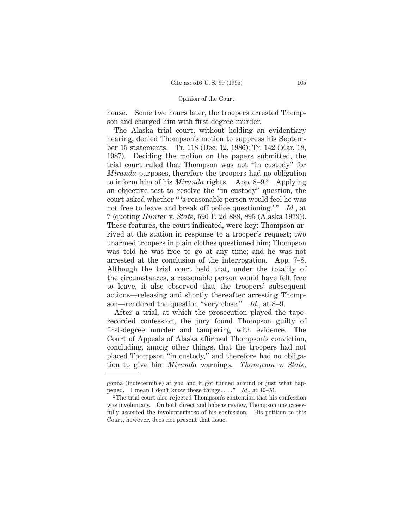house. Some two hours later, the troopers arrested Thompson and charged him with first-degree murder.

The Alaska trial court, without holding an evidentiary hearing, denied Thompson's motion to suppress his September 15 statements. Tr. 118 (Dec. 12, 1986); Tr. 142 (Mar. 18, 1987). Deciding the motion on the papers submitted, the trial court ruled that Thompson was not "in custody" for *Miranda* purposes, therefore the troopers had no obligation to inform him of his *Miranda* rights. App. 8–9.2 Applying an objective test to resolve the "in custody" question, the court asked whether " 'a reasonable person would feel he was not free to leave and break off police questioning.'" *Id.*, at 7 (quoting *Hunter* v. *State,* 590 P. 2d 888, 895 (Alaska 1979)). These features, the court indicated, were key: Thompson arrived at the station in response to a trooper's request; two unarmed troopers in plain clothes questioned him; Thompson was told he was free to go at any time; and he was not arrested at the conclusion of the interrogation. App. 7–8. Although the trial court held that, under the totality of the circumstances, a reasonable person would have felt free to leave, it also observed that the troopers' subsequent actions—releasing and shortly thereafter arresting Thompson—rendered the question "very close." *Id.*, at 8–9.

After a trial, at which the prosecution played the taperecorded confession, the jury found Thompson guilty of first-degree murder and tampering with evidence. The Court of Appeals of Alaska affirmed Thompson's conviction, concluding, among other things, that the troopers had not placed Thompson "in custody," and therefore had no obligation to give him *Miranda* warnings. *Thompson* v. *State,*

gonna (indiscernible) at you and it got turned around or just what happened. I mean I don't know those things. . . ." *Id.*, at 49–51.

<sup>2</sup> The trial court also rejected Thompson's contention that his confession was involuntary. On both direct and habeas review, Thompson unsuccessfully asserted the involuntariness of his confession. His petition to this Court, however, does not present that issue.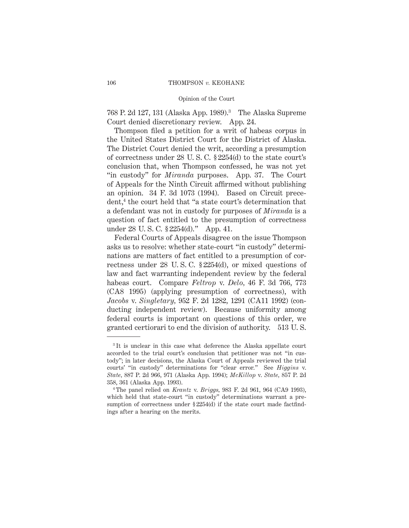768 P. 2d 127, 131 (Alaska App. 1989).3 The Alaska Supreme Court denied discretionary review. App. 24.

Thompson filed a petition for a writ of habeas corpus in the United States District Court for the District of Alaska. The District Court denied the writ, according a presumption of correctness under 28 U. S. C. § 2254(d) to the state court's conclusion that, when Thompson confessed, he was not yet "in custody" for *Miranda* purposes. App. 37. The Court of Appeals for the Ninth Circuit affirmed without publishing an opinion. 34 F. 3d 1073 (1994). Based on Circuit precedent,<sup>4</sup> the court held that "a state court's determination that a defendant was not in custody for purposes of *Miranda* is a question of fact entitled to the presumption of correctness under 28 U. S. C. § 2254(d)." App. 41.

Federal Courts of Appeals disagree on the issue Thompson asks us to resolve: whether state-court "in custody" determinations are matters of fact entitled to a presumption of correctness under 28 U. S. C. § 2254(d), or mixed questions of law and fact warranting independent review by the federal habeas court. Compare *Feltrop* v. *Delo,* 46 F. 3d 766, 773 (CA8 1995) (applying presumption of correctness), with *Jacobs* v. *Singletary,* 952 F. 2d 1282, 1291 (CA11 1992) (conducting independent review). Because uniformity among federal courts is important on questions of this order, we granted certiorari to end the division of authority. 513 U. S.

<sup>&</sup>lt;sup>3</sup>It is unclear in this case what deference the Alaska appellate court accorded to the trial court's conclusion that petitioner was not "in custody"; in later decisions, the Alaska Court of Appeals reviewed the trial courts' "in custody" determinations for "clear error." See *Higgins* v. *State,* 887 P. 2d 966, 971 (Alaska App. 1994); *McKillop* v. *State,* 857 P. 2d 358, 361 (Alaska App. 1993).

<sup>4</sup> The panel relied on *Krantz* v. *Briggs,* 983 F. 2d 961, 964 (CA9 1993), which held that state-court "in custody" determinations warrant a presumption of correctness under § 2254(d) if the state court made factfindings after a hearing on the merits.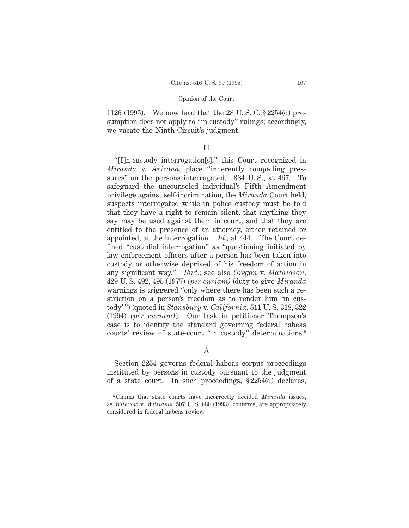1126 (1995). We now hold that the 28 U. S. C. § 2254(d) presumption does not apply to "in custody" rulings; accordingly, we vacate the Ninth Circuit's judgment.

# II

"[I]n-custody interrogation[s]," this Court recognized in *Miranda* v. *Arizona,* place "inherently compelling pressures" on the persons interrogated. 384 U. S., at 467. To safeguard the uncounseled individual's Fifth Amendment privilege against self-incrimination, the *Miranda* Court held, suspects interrogated while in police custody must be told that they have a right to remain silent, that anything they say may be used against them in court, and that they are entitled to the presence of an attorney, either retained or appointed, at the interrogation. *Id.*, at 444. The Court defined "custodial interrogation" as "questioning initiated by law enforcement officers after a person has been taken into custody or otherwise deprived of his freedom of action in any significant way." *Ibid.;* see also *Oregon* v. *Mathiason,* 429 U. S. 492, 495 (1977) *(per curiam)* (duty to give *Miranda* warnings is triggered "only where there has been such a restriction on a person's freedom as to render him 'in custody' ") (quoted in *Stansbury* v. *California,* 511 U. S. 318, 322 (1994) *(per curiam)*). Our task in petitioner Thompson's case is to identify the standard governing federal habeas courts' review of state-court "in custody" determinations.5

A

Section 2254 governs federal habeas corpus proceedings instituted by persons in custody pursuant to the judgment of a state court. In such proceedings, § 2254(d) declares,

<sup>5</sup> Claims that state courts have incorrectly decided *Miranda* issues, as *Withrow* v. *Williams,* 507 U. S. 680 (1993), confirms, are appropriately considered in federal habeas review.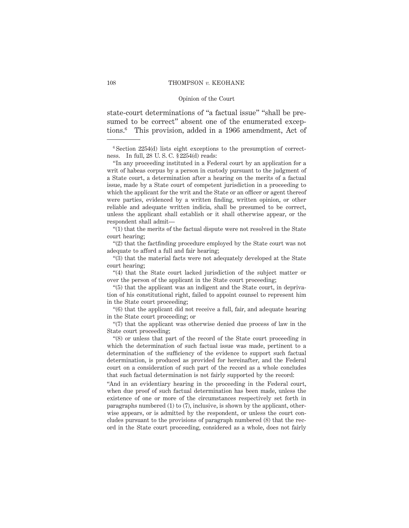state-court determinations of "a factual issue" "shall be presumed to be correct" absent one of the enumerated exceptions.6 This provision, added in a 1966 amendment, Act of

"(1) that the merits of the factual dispute were not resolved in the State court hearing;

"(2) that the factfinding procedure employed by the State court was not adequate to afford a full and fair hearing;

"(3) that the material facts were not adequately developed at the State court hearing;

"(4) that the State court lacked jurisdiction of the subject matter or over the person of the applicant in the State court proceeding;

"(5) that the applicant was an indigent and the State court, in deprivation of his constitutional right, failed to appoint counsel to represent him in the State court proceeding;

"(6) that the applicant did not receive a full, fair, and adequate hearing in the State court proceeding; or

"(7) that the applicant was otherwise denied due process of law in the State court proceeding;

"(8) or unless that part of the record of the State court proceeding in which the determination of such factual issue was made, pertinent to a determination of the sufficiency of the evidence to support such factual determination, is produced as provided for hereinafter, and the Federal court on a consideration of such part of the record as a whole concludes that such factual determination is not fairly supported by the record:

"And in an evidentiary hearing in the proceeding in the Federal court, when due proof of such factual determination has been made, unless the existence of one or more of the circumstances respectively set forth in paragraphs numbered (1) to (7), inclusive, is shown by the applicant, otherwise appears, or is admitted by the respondent, or unless the court concludes pursuant to the provisions of paragraph numbered (8) that the record in the State court proceeding, considered as a whole, does not fairly

<sup>6</sup> Section 2254(d) lists eight exceptions to the presumption of correctness. In full, 28 U. S. C. § 2254(d) reads:

<sup>&</sup>quot;In any proceeding instituted in a Federal court by an application for a writ of habeas corpus by a person in custody pursuant to the judgment of a State court, a determination after a hearing on the merits of a factual issue, made by a State court of competent jurisdiction in a proceeding to which the applicant for the writ and the State or an officer or agent thereof were parties, evidenced by a written finding, written opinion, or other reliable and adequate written indicia, shall be presumed to be correct, unless the applicant shall establish or it shall otherwise appear, or the respondent shall admit—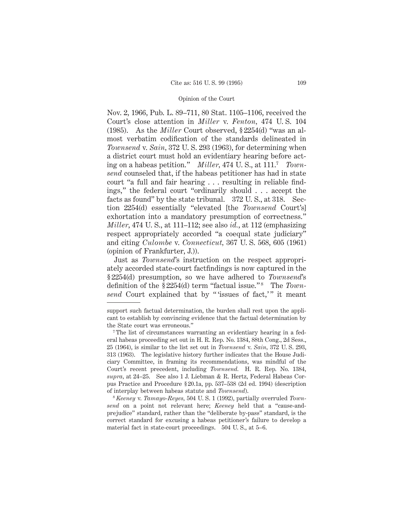Nov. 2, 1966, Pub. L. 89–711, 80 Stat. 1105–1106, received the Court's close attention in *Miller* v. *Fenton,* 474 U. S. 104 (1985). As the *Miller* Court observed, § 2254(d) "was an almost verbatim codification of the standards delineated in *Townsend* v. *Sain,* 372 U. S. 293 (1963), for determining when a district court must hold an evidentiary hearing before acting on a habeas petition." *Miller,* 474 U. S., at 111.7 *Townsend* counseled that, if the habeas petitioner has had in state court "a full and fair hearing . . . resulting in reliable findings," the federal court "ordinarily should . . . accept the facts as found" by the state tribunal. 372 U. S., at 318. Section 2254(d) essentially "elevated [the *Townsend* Court's] exhortation into a mandatory presumption of correctness." *Miller*, 474 U. S., at 111–112; see also *id.*, at 112 (emphasizing respect appropriately accorded "a coequal state judiciary" and citing *Culombe* v. *Connecticut,* 367 U. S. 568, 605 (1961) (opinion of Frankfurter, J.)).

Just as *Townsend*'s instruction on the respect appropriately accorded state-court factfindings is now captured in the § 2254(d) presumption, so we have adhered to *Townsend*'s definition of the §2254(d) term "factual issue."<sup>8</sup> The *Townsend* Court explained that by "'issues of fact,'" it meant

support such factual determination, the burden shall rest upon the applicant to establish by convincing evidence that the factual determination by the State court was erroneous."

<sup>7</sup> The list of circumstances warranting an evidentiary hearing in a federal habeas proceeding set out in H. R. Rep. No. 1384, 88th Cong., 2d Sess., 25 (1964), is similar to the list set out in *Townsend* v. *Sain,* 372 U. S. 293, 313 (1963). The legislative history further indicates that the House Judiciary Committee, in framing its recommendations, was mindful of the Court's recent precedent, including *Townsend.* H. R. Rep. No. 1384, *supra,* at 24–25. See also 1 J. Liebman & R. Hertz, Federal Habeas Corpus Practice and Procedure § 20.1a, pp. 537–538 (2d ed. 1994) (description of interplay between habeas statute and *Townsend*).

<sup>8</sup> *Keeney* v. *Tamayo-Reyes,* 504 U. S. 1 (1992), partially overruled *Townsend* on a point not relevant here; *Keeney* held that a "cause-andprejudice" standard, rather than the "deliberate by-pass" standard, is the correct standard for excusing a habeas petitioner's failure to develop a material fact in state-court proceedings. 504 U. S., at 5–6.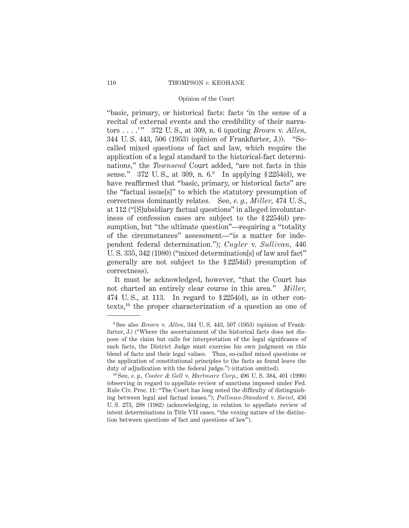"basic, primary, or historical facts: facts 'in the sense of a recital of external events and the credibility of their narrators . . . .' " 372 U. S., at 309, n. 6 (quoting *Brown* v. *Allen,* 344 U. S. 443, 506 (1953) (opinion of Frankfurter, J.)). "Socalled mixed questions of fact and law, which require the application of a legal standard to the historical-fact determinations," the *Townsend* Court added, "are not facts in this sense." 372 U.S., at 309, n. 6.9 In applying § 2254(d), we have reaffirmed that "basic, primary, or historical facts" are the "factual issue[s]" to which the statutory presumption of correctness dominantly relates. See, *e. g., Miller,* 474 U. S., at 112 ("[S]ubsidiary factual questions" in alleged involuntariness of confession cases are subject to the § 2254(d) presumption, but "the ultimate question"—requiring a "totality of the circumstances" assessment—"is a matter for independent federal determination."); *Cuyler* v. *Sullivan,* 446 U. S. 335, 342 (1980) ("mixed determination[s] of law and fact" generally are not subject to the § 2254(d) presumption of correctness).

It must be acknowledged, however, "that the Court has not charted an entirely clear course in this area." *Miller,* 474 U.S., at 113. In regard to  $\S 2254(d)$ , as in other contexts,10 the proper characterization of a question as one of

<sup>9</sup> See also *Brown* v. *Allen,* 344 U. S. 443, 507 (1953) (opinion of Frankfurter, J.) ("Where the ascertainment of the historical facts does not dispose of the claim but calls for interpretation of the legal significance of such facts, the District Judge must exercise his own judgment on this blend of facts and their legal values. Thus, so-called mixed questions or the application of constitutional principles to the facts as found leave the duty of adjudication with the federal judge.") (citation omitted).

<sup>10</sup> See, *e. g., Cooter & Gell* v. *Hartmarx Corp.*, 496 U. S. 384, 401 (1990) (observing in regard to appellate review of sanctions imposed under Fed. Rule Civ. Proc. 11: "The Court has long noted the difficulty of distinguishing between legal and factual issues."); *Pullman-Standard* v. *Swint,* 456 U. S. 273, 288 (1982) (acknowledging, in relation to appellate review of intent determinations in Title VII cases, "the vexing nature of the distinction between questions of fact and questions of law").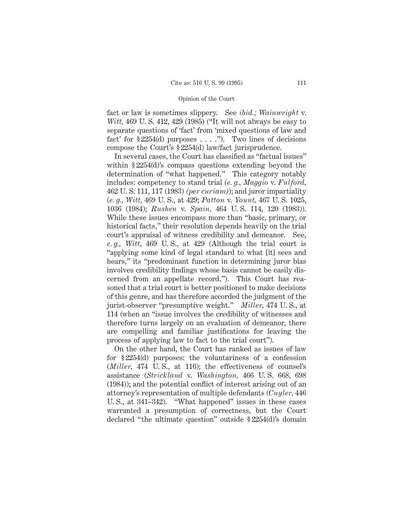fact or law is sometimes slippery. See *ibid.; Wainwright* v. *Witt,* 469 U. S. 412, 429 (1985) ("It will not always be easy to separate questions of 'fact' from 'mixed questions of law and fact' for  $\S 2254(d)$  purposes ...."). Two lines of decisions compose the Court's § 2254(d) law/fact jurisprudence.

In several cases, the Court has classified as "factual issues" within § 2254(d)'s compass questions extending beyond the determination of "what happened." This category notably includes: competency to stand trial (*e. g., Maggio* v. *Fulford,* 462 U. S. 111, 117 (1983) *(per curiam)*); and juror impartiality (*e. g., Witt*, 469 U. S., at 429; *Patton* v. *Yount,* 467 U. S. 1025, 1036 (1984); *Rushen* v. *Spain,* 464 U. S. 114, 120 (1983)). While these issues encompass more than "basic, primary, or historical facts," their resolution depends heavily on the trial court's appraisal of witness credibility and demeanor. See, *e. g., Witt,* 469 U. S., at 429 (Although the trial court is "applying some kind of legal standard to what [it] sees and hears," its "predominant function in determining juror bias involves credibility findings whose basis cannot be easily discerned from an appellate record."). This Court has reasoned that a trial court is better positioned to make decisions of this genre, and has therefore accorded the judgment of the jurist-observer "presumptive weight." *Miller,* 474 U. S., at 114 (when an "issue involves the credibility of witnesses and therefore turns largely on an evaluation of demeanor, there are compelling and familiar justifications for leaving the process of applying law to fact to the trial court").

On the other hand, the Court has ranked as issues of law for § 2254(d) purposes: the voluntariness of a confession (*Miller,* 474 U. S., at 116); the effectiveness of counsel's assistance (*Strickland* v. *Washington,* 466 U. S. 668, 698 (1984)); and the potential conflict of interest arising out of an attorney's representation of multiple defendants (*Cuyler,* 446 U. S., at 341–342). "What happened" issues in these cases warranted a presumption of correctness, but the Court declared "the ultimate question" outside § 2254(d)'s domain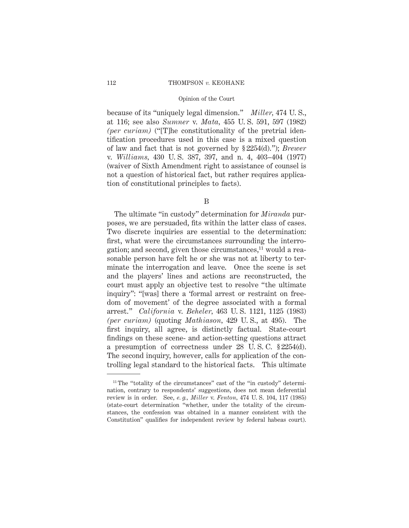because of its "uniquely legal dimension." *Miller,* 474 U. S., at 116; see also *Sumner* v. *Mata,* 455 U. S. 591, 597 (1982) *(per curiam)* ("[T]he constitutionality of the pretrial identification procedures used in this case is a mixed question of law and fact that is not governed by § 2254(d)."); *Brewer* v. *Williams,* 430 U. S. 387, 397, and n. 4, 403–404 (1977) (waiver of Sixth Amendment right to assistance of counsel is not a question of historical fact, but rather requires application of constitutional principles to facts).

B

The ultimate "in custody" determination for *Miranda* purposes, we are persuaded, fits within the latter class of cases. Two discrete inquiries are essential to the determination: first, what were the circumstances surrounding the interrogation; and second, given those circumstances,<sup>11</sup> would a reasonable person have felt he or she was not at liberty to terminate the interrogation and leave. Once the scene is set and the players' lines and actions are reconstructed, the court must apply an objective test to resolve "the ultimate inquiry": "[was] there a 'formal arrest or restraint on freedom of movement' of the degree associated with a formal arrest." *California* v. *Beheler,* 463 U. S. 1121, 1125 (1983) *(per curiam)* (quoting *Mathiason,* 429 U. S., at 495). The first inquiry, all agree, is distinctly factual. State-court findings on these scene- and action-setting questions attract a presumption of correctness under 28 U. S. C. § 2254(d). The second inquiry, however, calls for application of the controlling legal standard to the historical facts. This ultimate

<sup>&</sup>lt;sup>11</sup> The "totality of the circumstances" cast of the "in custody" determination, contrary to respondents' suggestions, does not mean deferential review is in order. See, *e. g., Miller* v. *Fenton,* 474 U. S. 104, 117 (1985) (state-court determination "whether, under the totality of the circumstances, the confession was obtained in a manner consistent with the Constitution" qualifies for independent review by federal habeas court).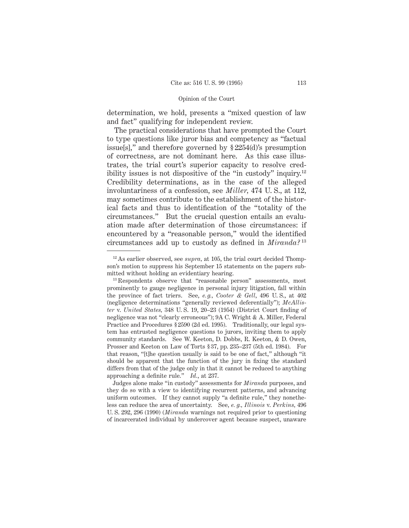determination, we hold, presents a "mixed question of law and fact" qualifying for independent review.

The practical considerations that have prompted the Court to type questions like juror bias and competency as "factual issue[s]," and therefore governed by § 2254(d)'s presumption of correctness, are not dominant here. As this case illustrates, the trial court's superior capacity to resolve credibility issues is not dispositive of the "in custody" inquiry.12 Credibility determinations, as in the case of the alleged involuntariness of a confession, see *Miller,* 474 U. S., at 112, may sometimes contribute to the establishment of the historical facts and thus to identification of the "totality of the circumstances." But the crucial question entails an evaluation made after determination of those circumstances: if encountered by a "reasonable person," would the identified circumstances add up to custody as defined in *Miranda?* <sup>13</sup>

Judges alone make "in custody" assessments for *Miranda* purposes, and they do so with a view to identifying recurrent patterns, and advancing uniform outcomes. If they cannot supply "a definite rule," they nonetheless can reduce the area of uncertainty. See, *e. g., Illinois* v. *Perkins,* 496 U. S. 292, 296 (1990) (*Miranda* warnings not required prior to questioning of incarcerated individual by undercover agent because suspect, unaware

<sup>12</sup> As earlier observed, see *supra,* at 105, the trial court decided Thompson's motion to suppress his September 15 statements on the papers submitted without holding an evidentiary hearing.

<sup>&</sup>lt;sup>13</sup> Respondents observe that "reasonable person" assessments, most prominently to gauge negligence in personal injury litigation, fall within the province of fact triers. See, *e. g., Cooter & Gell*, 496 U. S., at 402 (negligence determinations "generally reviewed deferentially"); *McAllister* v. *United States,* 348 U. S. 19, 20–23 (1954) (District Court finding of negligence was not "clearly erroneous"); 9A C. Wright & A. Miller, Federal Practice and Procedures § 2590 (2d ed. 1995). Traditionally, our legal system has entrusted negligence questions to jurors, inviting them to apply community standards. See W. Keeton, D. Dobbs, R. Keeton, & D. Owen, Prosser and Keeton on Law of Torts § 37, pp. 235–237 (5th ed. 1984). For that reason, "[t]he question usually is said to be one of fact," although "it should be apparent that the function of the jury in fixing the standard differs from that of the judge only in that it cannot be reduced to anything approaching a definite rule." *Id.*, at 237.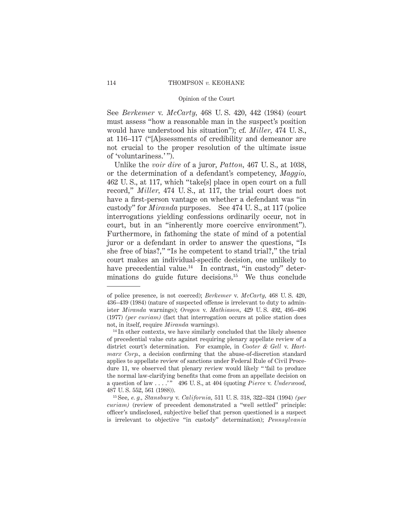See *Berkemer* v. *McCarty,* 468 U. S. 420, 442 (1984) (court must assess "how a reasonable man in the suspect's position would have understood his situation"); cf. *Miller,* 474 U. S., at 116–117 ("[A]ssessments of credibility and demeanor are not crucial to the proper resolution of the ultimate issue of 'voluntariness.' ").

Unlike the *voir dire* of a juror, *Patton,* 467 U. S., at 1038, or the determination of a defendant's competency, *Maggio,* 462 U. S., at 117, which "take[s] place in open court on a full record," *Miller,* 474 U. S., at 117, the trial court does not have a first-person vantage on whether a defendant was "in custody" for *Miranda* purposes. See 474 U. S., at 117 (police interrogations yielding confessions ordinarily occur, not in court, but in an "inherently more coercive environment"). Furthermore, in fathoming the state of mind of a potential juror or a defendant in order to answer the questions, "Is she free of bias?," "Is he competent to stand trial?," the trial court makes an individual-specific decision, one unlikely to have precedential value. $14$  In contrast, "in custody" determinations do guide future decisions.15 We thus conclude

<sup>15</sup> See, *e. g., Stansbury* v. *California,* 511 U. S. 318, 322–324 (1994) *(per curiam)* (review of precedent demonstrated a "well settled" principle: officer's undisclosed, subjective belief that person questioned is a suspect is irrelevant to objective "in custody" determination); *Pennsylvania*

of police presence, is not coerced); *Berkemer* v. *McCarty,* 468 U. S. 420, 436–439 (1984) (nature of suspected offense is irrelevant to duty to administer *Miranda* warnings); *Oregon* v. *Mathiason,* 429 U. S. 492, 495–496 (1977) *(per curiam)* (fact that interrogation occurs at police station does not, in itself, require *Miranda* warnings).

<sup>&</sup>lt;sup>14</sup> In other contexts, we have similarly concluded that the likely absence of precedential value cuts against requiring plenary appellate review of a district court's determination. For example, in *Cooter & Gell* v. *Hartmarx Corp.,* a decision confirming that the abuse-of-discretion standard applies to appellate review of sanctions under Federal Rule of Civil Procedure 11, we observed that plenary review would likely "'fail to produce the normal law-clarifying benefits that come from an appellate decision on a question of law . . . .' " 496 U. S., at 404 (quoting *Pierce* v. *Underwood,* 487 U. S. 552, 561 (1988)).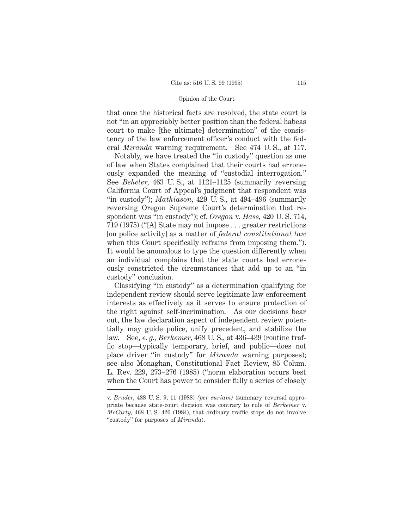that once the historical facts are resolved, the state court is not "in an appreciably better position than the federal habeas court to make [the ultimate] determination" of the consistency of the law enforcement officer's conduct with the federal *Miranda* warning requirement. See 474 U. S., at 117.

Notably, we have treated the "in custody" question as one of law when States complained that their courts had erroneously expanded the meaning of "custodial interrogation." See *Beheler,* 463 U. S., at 1121–1125 (summarily reversing California Court of Appeal's judgment that respondent was "in custody"); *Mathiason,* 429 U. S., at 494–496 (summarily reversing Oregon Supreme Court's determination that respondent was "in custody"); cf. *Oregon* v. *Hass,* 420 U. S. 714, 719 (1975) ("[A] State may not impose... greater restrictions [on police activity] as a matter of *federal constitutional law* when this Court specifically refrains from imposing them."). It would be anomalous to type the question differently when an individual complains that the state courts had erroneously constricted the circumstances that add up to an "in custody" conclusion.

Classifying "in custody" as a determination qualifying for independent review should serve legitimate law enforcement interests as effectively as it serves to ensure protection of the right against self-incrimination. As our decisions bear out, the law declaration aspect of independent review potentially may guide police, unify precedent, and stabilize the law. See, *e. g., Berkemer,* 468 U. S., at 436–439 (routine traffic stop—typically temporary, brief, and public—does not place driver "in custody" for *Miranda* warning purposes); see also Monaghan, Constitutional Fact Review, 85 Colum. L. Rev. 229, 273–276 (1985) ("norm elaboration occurs best when the Court has power to consider fully a series of closely

v. *Bruder,* 488 U. S. 9, 11 (1988) *(per curiam)* (summary reversal appropriate because state-court decision was contrary to rule of *Berkemer* v. *McCarty,* 468 U. S. 420 (1984), that ordinary traffic stops do not involve "custody" for purposes of *Miranda*).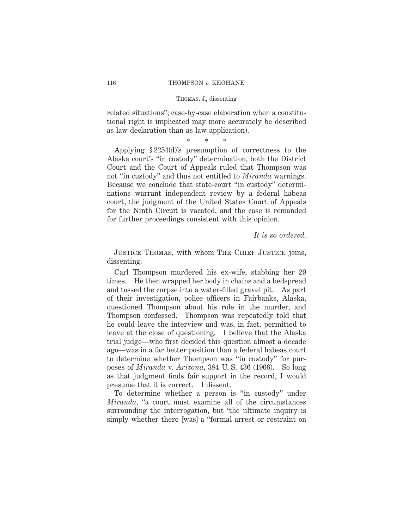related situations"; case-by-case elaboration when a constitutional right is implicated may more accurately be described as law declaration than as law application).

\*\*\*

Applying § 2254(d)'s presumption of correctness to the Alaska court's "in custody" determination, both the District Court and the Court of Appeals ruled that Thompson was not "in custody" and thus not entitled to *Miranda* warnings. Because we conclude that state-court "in custody" determinations warrant independent review by a federal habeas court, the judgment of the United States Court of Appeals for the Ninth Circuit is vacated, and the case is remanded for further proceedings consistent with this opinion.

*It is so ordered.*

JUSTICE THOMAS, with whom THE CHIEF JUSTICE joins, dissenting.

Carl Thompson murdered his ex-wife, stabbing her 29 times. He then wrapped her body in chains and a bedspread and tossed the corpse into a water-filled gravel pit. As part of their investigation, police officers in Fairbanks, Alaska, questioned Thompson about his role in the murder, and Thompson confessed. Thompson was repeatedly told that he could leave the interview and was, in fact, permitted to leave at the close of questioning. I believe that the Alaska trial judge—who first decided this question almost a decade ago—was in a far better position than a federal habeas court to determine whether Thompson was "in custody" for purposes of *Miranda* v. *Arizona,* 384 U. S. 436 (1966). So long as that judgment finds fair support in the record, I would presume that it is correct. I dissent.

To determine whether a person is "in custody" under *Miranda,* "a court must examine all of the circumstances surrounding the interrogation, but 'the ultimate inquiry is simply whether there [was] a "formal arrest or restraint on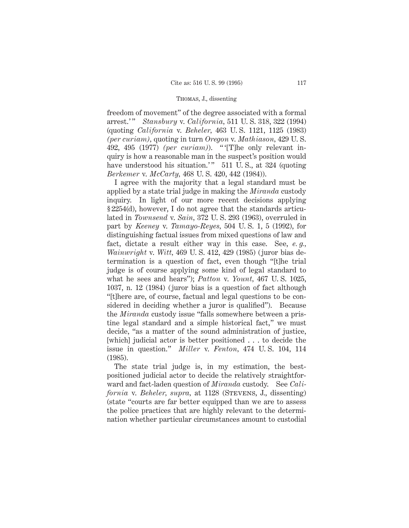freedom of movement" of the degree associated with a formal arrest.' " *Stansbury* v. *California,* 511 U. S. 318, 322 (1994) (quoting *California* v. *Beheler,* 463 U. S. 1121, 1125 (1983) *(per curiam),* quoting in turn *Oregon* v. *Mathiason,* 429 U. S. 492, 495 (1977) *(per curiam)*). " '[T]he only relevant inquiry is how a reasonable man in the suspect's position would have understood his situation.'"  $511 \text{ U.S., at } 324$  (quoting *Berkemer* v. *McCarty,* 468 U. S. 420, 442 (1984)).

I agree with the majority that a legal standard must be applied by a state trial judge in making the *Miranda* custody inquiry. In light of our more recent decisions applying § 2254(d), however, I do not agree that the standards articulated in *Townsend* v. *Sain,* 372 U. S. 293 (1963), overruled in part by *Keeney* v. *Tamayo-Reyes,* 504 U. S. 1, 5 (1992), for distinguishing factual issues from mixed questions of law and fact, dictate a result either way in this case. See, *e. g., Wainwright* v. *Witt,* 469 U. S. 412, 429 (1985) (juror bias determination is a question of fact, even though "[t]he trial judge is of course applying some kind of legal standard to what he sees and hears"); *Patton* v. *Yount,* 467 U. S. 1025, 1037, n. 12 (1984) (juror bias is a question of fact although "[t]here are, of course, factual and legal questions to be considered in deciding whether a juror is qualified"). Because the *Miranda* custody issue "falls somewhere between a pristine legal standard and a simple historical fact," we must decide, "as a matter of the sound administration of justice, [which] judicial actor is better positioned . . . to decide the issue in question." *Miller* v. *Fenton,* 474 U. S. 104, 114 (1985).

The state trial judge is, in my estimation, the bestpositioned judicial actor to decide the relatively straightforward and fact-laden question of *Miranda* custody. See *California* v. *Beheler, supra,* at 1128 (STEVENS, J., dissenting) (state "courts are far better equipped than we are to assess the police practices that are highly relevant to the determination whether particular circumstances amount to custodial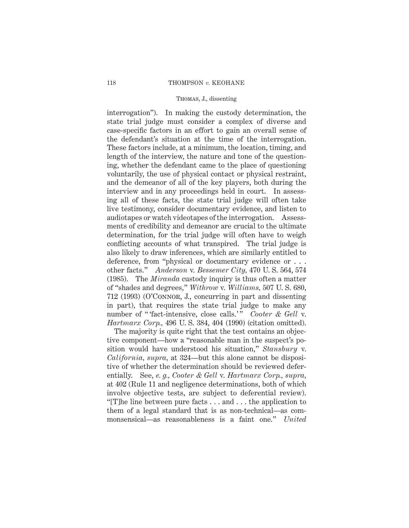interrogation"). In making the custody determination, the state trial judge must consider a complex of diverse and case-specific factors in an effort to gain an overall sense of the defendant's situation at the time of the interrogation. These factors include, at a minimum, the location, timing, and length of the interview, the nature and tone of the questioning, whether the defendant came to the place of questioning voluntarily, the use of physical contact or physical restraint, and the demeanor of all of the key players, both during the interview and in any proceedings held in court. In assessing all of these facts, the state trial judge will often take live testimony, consider documentary evidence, and listen to audiotapes or watch videotapes of the interrogation. Assessments of credibility and demeanor are crucial to the ultimate determination, for the trial judge will often have to weigh conflicting accounts of what transpired. The trial judge is also likely to draw inferences, which are similarly entitled to deference, from "physical or documentary evidence or . . . other facts." *Anderson* v. *Bessemer City,* 470 U. S. 564, 574 (1985). The *Miranda* custody inquiry is thus often a matter of "shades and degrees," *Withrow* v. *Williams,* 507 U. S. 680, 712 (1993) (O'Connor, J., concurring in part and dissenting in part), that requires the state trial judge to make any number of "'fact-intensive, close calls.'" Cooter & Gell v. *Hartmarx Corp.,* 496 U. S. 384, 404 (1990) (citation omitted).

The majority is quite right that the test contains an objective component—how a "reasonable man in the suspect's position would have understood his situation," *Stansbury* v. *California, supra,* at 324—but this alone cannot be dispositive of whether the determination should be reviewed deferentially. See, *e. g., Cooter & Gell* v. *Hartmarx Corp., supra,* at 402 (Rule 11 and negligence determinations, both of which involve objective tests, are subject to deferential review). "[T]he line between pure facts . . . and . . . the application to them of a legal standard that is as non-technical—as commonsensical—as reasonableness is a faint one." *United*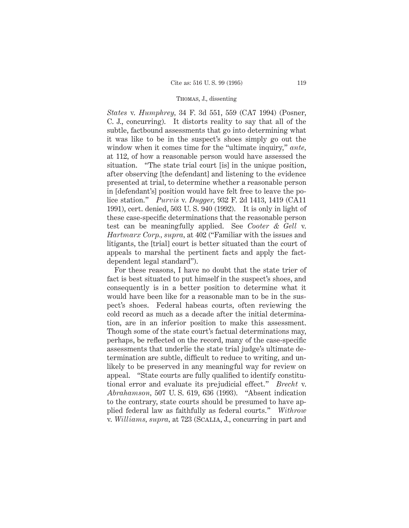*States* v. *Humphrey,* 34 F. 3d 551, 559 (CA7 1994) (Posner, C. J., concurring). It distorts reality to say that all of the subtle, factbound assessments that go into determining what it was like to be in the suspect's shoes simply go out the window when it comes time for the "ultimate inquiry," *ante,* at 112, of how a reasonable person would have assessed the situation. "The state trial court [is] in the unique position, after observing [the defendant] and listening to the evidence presented at trial, to determine whether a reasonable person in [defendant's] position would have felt free to leave the police station." *Purvis* v. *Dugger,* 932 F. 2d 1413, 1419 (CA11 1991), cert. denied, 503 U. S. 940 (1992). It is only in light of these case-specific determinations that the reasonable person test can be meaningfully applied. See *Cooter & Gell* v. *Hartmarx Corp., supra,* at 402 ("Familiar with the issues and litigants, the [trial] court is better situated than the court of appeals to marshal the pertinent facts and apply the factdependent legal standard").

For these reasons, I have no doubt that the state trier of fact is best situated to put himself in the suspect's shoes, and consequently is in a better position to determine what it would have been like for a reasonable man to be in the suspect's shoes. Federal habeas courts, often reviewing the cold record as much as a decade after the initial determination, are in an inferior position to make this assessment. Though some of the state court's factual determinations may, perhaps, be reflected on the record, many of the case-specific assessments that underlie the state trial judge's ultimate determination are subtle, difficult to reduce to writing, and unlikely to be preserved in any meaningful way for review on appeal. "State courts are fully qualified to identify constitutional error and evaluate its prejudicial effect." *Brecht* v. *Abrahamson,* 507 U. S. 619, 636 (1993). "Absent indication to the contrary, state courts should be presumed to have applied federal law as faithfully as federal courts." *Withrow* v. *Williams, supra,* at 723 (Scalia, J., concurring in part and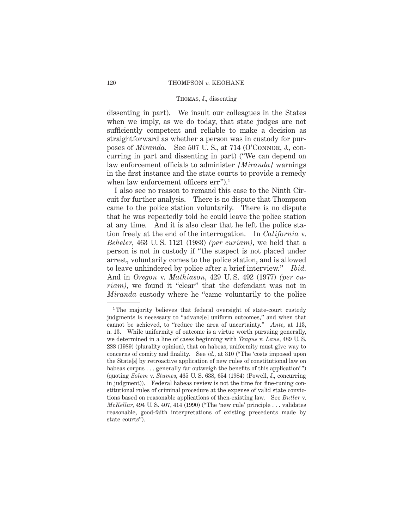dissenting in part). We insult our colleagues in the States when we imply, as we do today, that state judges are not sufficiently competent and reliable to make a decision as straightforward as whether a person was in custody for purposes of *Miranda.* See 507 U. S., at 714 (O'Connor, J., concurring in part and dissenting in part) ("We can depend on law enforcement officials to administer *[Miranda]* warnings in the first instance and the state courts to provide a remedy when law enforcement officers err").<sup>1</sup>

I also see no reason to remand this case to the Ninth Circuit for further analysis. There is no dispute that Thompson came to the police station voluntarily. There is no dispute that he was repeatedly told he could leave the police station at any time. And it is also clear that he left the police station freely at the end of the interrogation. In *California* v. *Beheler,* 463 U. S. 1121 (1983) *(per curiam),* we held that a person is not in custody if "the suspect is not placed under arrest, voluntarily comes to the police station, and is allowed to leave unhindered by police after a brief interview." *Ibid.* And in *Oregon* v. *Mathiason,* 429 U. S. 492 (1977) *(per curiam),* we found it "clear" that the defendant was not in *Miranda* custody where he "came voluntarily to the police

<sup>&</sup>lt;sup>1</sup>The majority believes that federal oversight of state-court custody judgments is necessary to "advanc[e] uniform outcomes," and when that cannot be achieved, to "reduce the area of uncertainty." *Ante,* at 113, n. 13. While uniformity of outcome is a virtue worth pursuing generally, we determined in a line of cases beginning with *Teague* v. *Lane*, 489 U. S. 288 (1989) (plurality opinion), that on habeas, uniformity must give way to concerns of comity and finality. See *id.,* at 310 ("The 'costs imposed upon the State[s] by retroactive application of new rules of constitutional law on habeas corpus . . . generally far outweigh the benefits of this application'") (quoting *Solem* v. *Stumes,* 465 U. S. 638, 654 (1984) (Powell, J., concurring in judgment)). Federal habeas review is not the time for fine-tuning constitutional rules of criminal procedure at the expense of valid state convictions based on reasonable applications of then-existing law. See *Butler* v. *McKellar,* 494 U. S. 407, 414 (1990) ("The 'new rule' principle . . . validates reasonable, good-faith interpretations of existing precedents made by state courts").